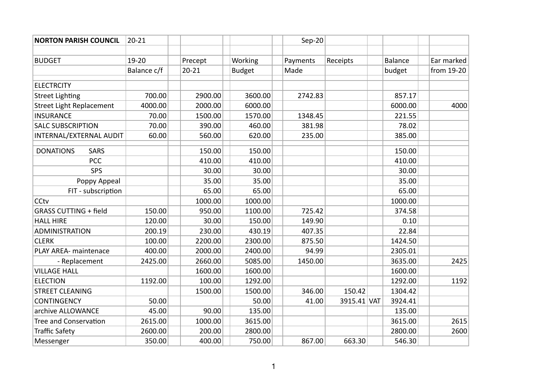| <b>NORTON PARISH COUNCIL</b>    | $20 - 21$   |           |               | Sep-20   |             |                |            |
|---------------------------------|-------------|-----------|---------------|----------|-------------|----------------|------------|
|                                 |             |           |               |          |             |                |            |
| <b>BUDGET</b>                   | 19-20       | Precept   | Working       | Payments | Receipts    | <b>Balance</b> | Ear marked |
|                                 | Balance c/f | $20 - 21$ | <b>Budget</b> | Made     |             | budget         | from 19-20 |
|                                 |             |           |               |          |             |                |            |
| <b>ELECTRCITY</b>               | 700.00      |           |               |          |             |                |            |
| <b>Street Lighting</b>          |             | 2900.00   | 3600.00       | 2742.83  |             | 857.17         |            |
| <b>Street Light Replacement</b> | 4000.00     | 2000.00   | 6000.00       |          |             | 6000.00        | 4000       |
| <b>INSURANCE</b>                | 70.00       | 1500.00   | 1570.00       | 1348.45  |             | 221.55         |            |
| <b>SALC SUBSCRIPTION</b>        | 70.00       | 390.00    | 460.00        | 381.98   |             | 78.02          |            |
| INTERNAL/EXTERNAL AUDIT         | 60.00       | 560.00    | 620.00        | 235.00   |             | 385.00         |            |
| <b>SARS</b><br><b>DONATIONS</b> |             | 150.00    | 150.00        |          |             | 150.00         |            |
| <b>PCC</b>                      |             | 410.00    | 410.00        |          |             | 410.00         |            |
| <b>SPS</b>                      |             | 30.00     | 30.00         |          |             | 30.00          |            |
| Poppy Appeal                    |             | 35.00     | 35.00         |          |             | 35.00          |            |
| FIT - subscription              |             | 65.00     | 65.00         |          |             | 65.00          |            |
| CCtv                            |             | 1000.00   | 1000.00       |          |             | 1000.00        |            |
| <b>GRASS CUTTING + field</b>    | 150.00      | 950.00    | 1100.00       | 725.42   |             | 374.58         |            |
| <b>HALL HIRE</b>                | 120.00      | 30.00     | 150.00        | 149.90   |             | 0.10           |            |
| <b>ADMINISTRATION</b>           | 200.19      | 230.00    | 430.19        | 407.35   |             | 22.84          |            |
| <b>CLERK</b>                    | 100.00      | 2200.00   | 2300.00       | 875.50   |             | 1424.50        |            |
| PLAY AREA- maintenace           | 400.00      | 2000.00   | 2400.00       | 94.99    |             | 2305.01        |            |
| - Replacement                   | 2425.00     | 2660.00   | 5085.00       | 1450.00  |             | 3635.00        | 2425       |
| <b>VILLAGE HALL</b>             |             | 1600.00   | 1600.00       |          |             | 1600.00        |            |
| <b>ELECTION</b>                 | 1192.00     | 100.00    | 1292.00       |          |             | 1292.00        | 1192       |
| <b>STREET CLEANING</b>          |             | 1500.00   | 1500.00       | 346.00   | 150.42      | 1304.42        |            |
| <b>CONTINGENCY</b>              | 50.00       |           | 50.00         | 41.00    | 3915.41 VAT | 3924.41        |            |
| archive ALLOWANCE               | 45.00       | 90.00     | 135.00        |          |             | 135.00         |            |
| <b>Tree and Conservation</b>    | 2615.00     | 1000.00   | 3615.00       |          |             | 3615.00        | 2615       |
| <b>Traffic Safety</b>           | 2600.00     | 200.00    | 2800.00       |          |             | 2800.00        | 2600       |
| Messenger                       | 350.00      | 400.00    | 750.00        | 867.00   | 663.30      | 546.30         |            |